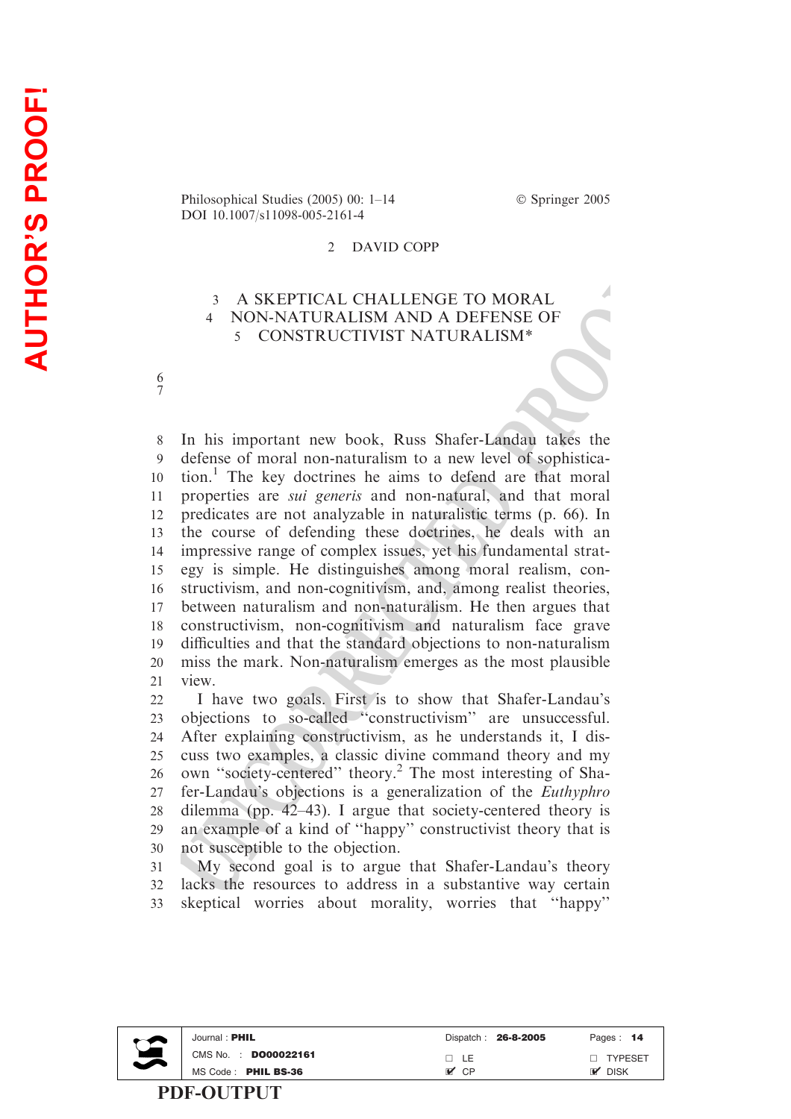Philosophical Studies (2005) 00:  $1-14$   $\circ$  Springer 2005 DOI 10.1007/s11098-005-2161-4

#### DAVID COPP

# A SKEPTICAL CHALLENGE TO MORAL NON-NATURALISM AND A DEFENSE OF CONSTRUCTIVIST NATURALISM\*

3 A SKEPTICAL CHALLENGE TO MORAL<br>
4 NON-NATURALISM AND A DEFENSE OF<br>
5 CONSTRUCTIVIST NATURALISM\*<br>
5 CONSTRUCTIVIST NATURALISM\*<br>
16 SCONSTRUCTIVIST NATURALISM\*<br>
16 SCONS TRUCTIVIST NATURALISM\*<br>
16 And non-aturalism to a n In his important new book, Russ Shafer-Landau takes the defense of moral non-naturalism to a new level of sophistica-10 tion.<sup>1</sup> The key doctrines he aims to defend are that moral properties are sui generis and non-natural, and that moral predicates are not analyzable in naturalistic terms (p. 66). In the course of defending these doctrines, he deals with an impressive range of complex issues, yet his fundamental strat- egy is simple. He distinguishes among moral realism, con- structivism, and non-cognitivism, and, among realist theories, between naturalism and non-naturalism. He then argues that constructivism, non-cognitivism and naturalism face grave difficulties and that the standard objections to non-naturalism miss the mark. Non-naturalism emerges as the most plausible view.

 I have two goals. First is to show that Shafer-Landau's objections to so-called ''constructivism'' are unsuccessful. After explaining constructivism, as he understands it, I dis- cuss two examples, a classic divine command theory and my own ''society-centered'' theory.<sup>2</sup> The most interesting of Sha- fer-Landau's objections is a generalization of the Euthyphro dilemma (pp. 42–43). I argue that society-centered theory is an example of a kind of ''happy'' constructivist theory that is not susceptible to the objection.

 My second goal is to argue that Shafer-Landau's theory lacks the resources to address in a substantive way certain skeptical worries about morality, worries that ''happy''



Journal : PHIL **Dispatch : 26-8-2005** Pages : 14  $CMS$  No. : **DO00022161**  $\Box$  LE  $\Box$  TYPESET MS Code : PHIL BS-36 https://www.industrial.com/disk/cp/disk/cp/disk/handback.html

## PDF-OUTPUT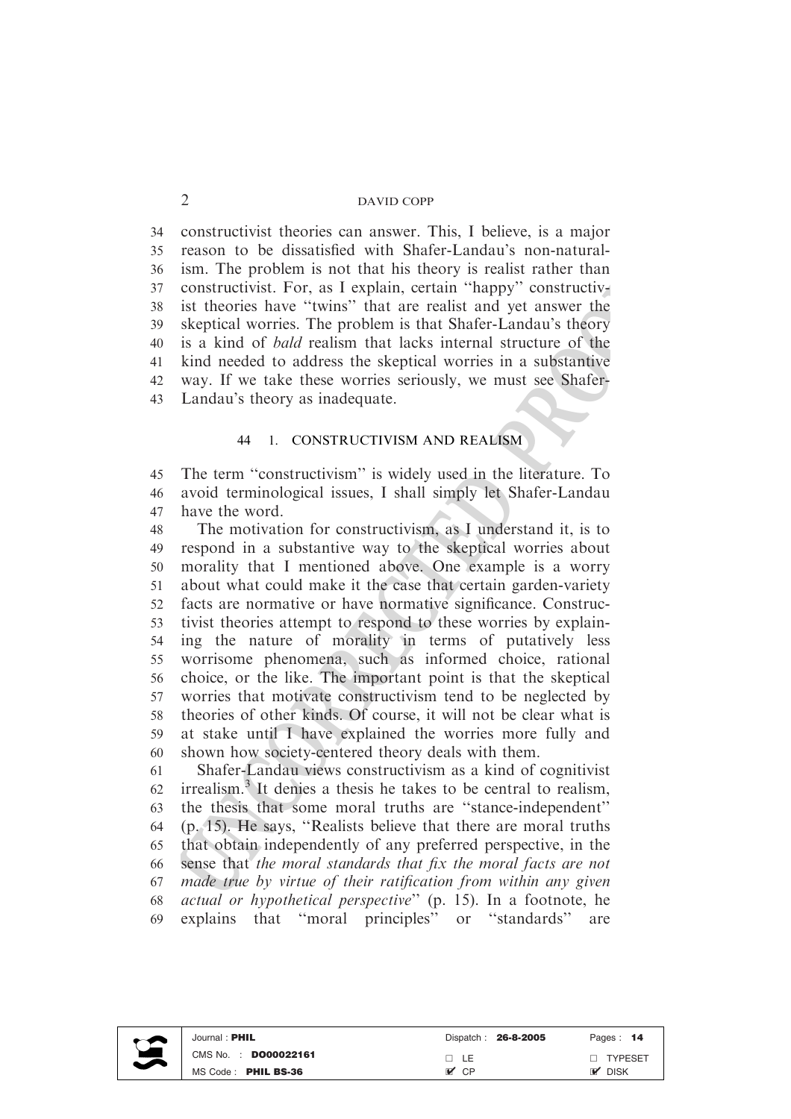constructivist theories can answer. This, I believe, is a major reason to be dissatisfied with Shafer-Landau's non-natural- ism. The problem is not that his theory is realist rather than constructivist. For, as I explain, certain ''happy'' constructiv- ist theories have ''twins'' that are realist and yet answer the skeptical worries. The problem is that Shafer-Landau's theory is a kind of bald realism that lacks internal structure of the kind needed to address the skeptical worries in a substantive way. If we take these worries seriously, we must see Shafer-Landau's theory as inadequate.

#### 1. CONSTRUCTIVISM AND REALISM

 The term ''constructivism'' is widely used in the literature. To avoid terminological issues, I shall simply let Shafer-Landau have the word.

since that is not used in state and is a state and in the proton scheme that the since the step is a kind of *bald* realism that it eachs tand y et any is the step is a kind of *bald* realism that lacks internal structure The motivation for constructivism, as I understand it, is to respond in a substantive way to the skeptical worries about morality that I mentioned above. One example is a worry about what could make it the case that certain garden-variety facts are normative or have normative significance. Construc- tivist theories attempt to respond to these worries by explain- ing the nature of morality in terms of putatively less worrisome phenomena, such as informed choice, rational choice, or the like. The important point is that the skeptical worries that motivate constructivism tend to be neglected by theories of other kinds. Of course, it will not be clear what is at stake until I have explained the worries more fully and shown how society-centered theory deals with them.

 Shafer-Landau views constructivism as a kind of cognitivist 62 irrealism.<sup>3</sup> It denies a thesis he takes to be central to realism, the thesis that some moral truths are ''stance-independent'' (p. 15). He says, ''Realists believe that there are moral truths that obtain independently of any preferred perspective, in the sense that the moral standards that fix the moral facts are not made true by virtue of their ratification from within any given actual or hypothetical perspective'' (p. 15). In a footnote, he explains that ''moral principles'' or ''standards'' are

| Journal : <b>PHIL</b>       | Dispatch: 26-8-2005 | Pages: 14         |
|-----------------------------|---------------------|-------------------|
| CMS No. : <b>DO00022161</b> | $\Box$ IF           | <b>DE TYPESET</b> |
| MS Code: PHIL BS-36         | $V$ CP              | $\mathbb{R}$ DISK |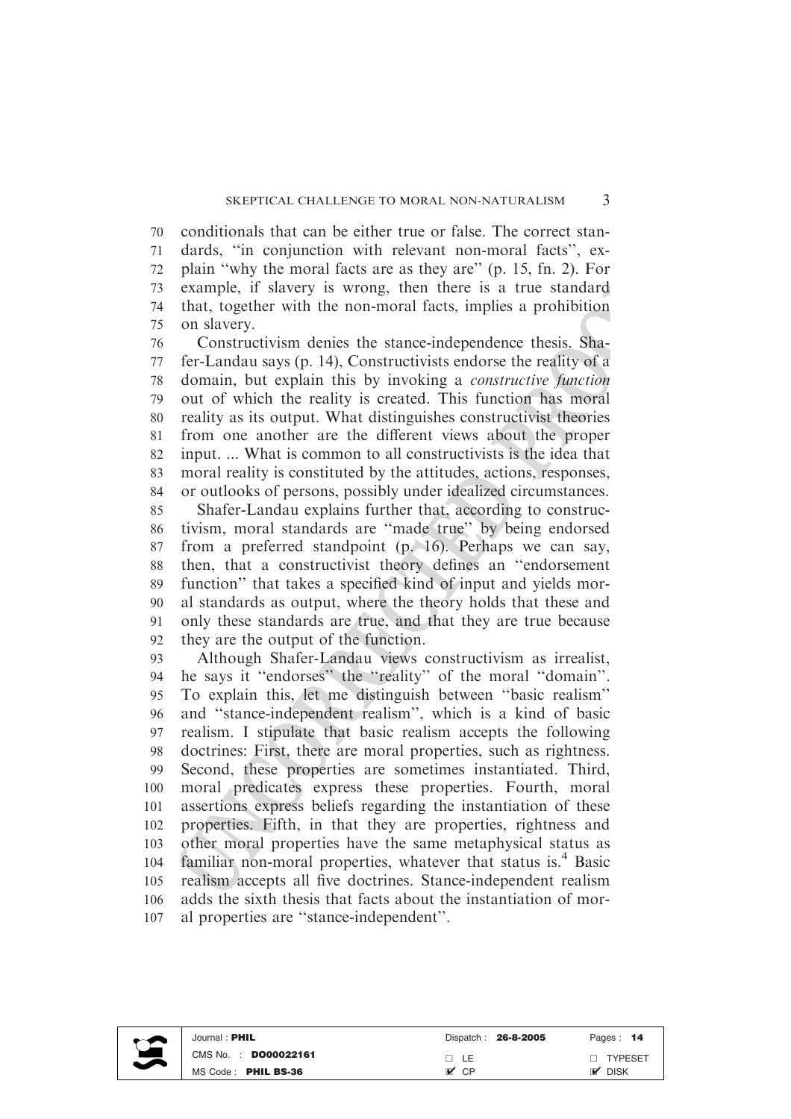conditionals that can be either true or false. The correct stan- dards, ''in conjunction with relevant non-moral facts'', ex- plain ''why the moral facts are as they are'' (p. 15, fn. 2). For example, if slavery is wrong, then there is a true standard that, together with the non-moral facts, implies a prohibition on slavery.

pain way in those that a constructivist the py active  $P_1$ ,  $P_2$ ,  $P_3$ . The  $2y$ , then the state and that, together with the non-moral facts, implies a prohibition on slavery. Constructivism denies the stance-independe Constructivism denies the stance-independence thesis. Sha- fer-Landau says (p. 14), Constructivists endorse the reality of a domain, but explain this by invoking a constructive function out of which the reality is created. This function has moral reality as its output. What distinguishes constructivist theories from one another are the different views about the proper input. ... What is common to all constructivists is the idea that moral reality is constituted by the attitudes, actions, responses, or outlooks of persons, possibly under idealized circumstances. Shafer-Landau explains further that, according to construc- tivism, moral standards are ''made true'' by being endorsed from a preferred standpoint (p. 16). Perhaps we can say, then, that a constructivist theory defines an ''endorsement function'' that takes a specified kind of input and yields mor- al standards as output, where the theory holds that these and only these standards are true, and that they are true because they are the output of the function.

 Although Shafer-Landau views constructivism as irrealist, he says it ''endorses'' the ''reality'' of the moral ''domain''. To explain this, let me distinguish between ''basic realism'' and ''stance-independent realism'', which is a kind of basic realism. I stipulate that basic realism accepts the following doctrines: First, there are moral properties, such as rightness. Second, these properties are sometimes instantiated. Third, moral predicates express these properties. Fourth, moral assertions express beliefs regarding the instantiation of these properties. Fifth, in that they are properties, rightness and other moral properties have the same metaphysical status as 104 familiar non-moral properties, whatever that status is.<sup>4</sup> Basic realism accepts all five doctrines. Stance-independent realism adds the sixth thesis that facts about the instantiation of mor-al properties are ''stance-independent''.

| Journal : <b>PHIL</b>       | Dispatch: <b>26-8-2005</b> | Pages: 14          |
|-----------------------------|----------------------------|--------------------|
| CMS No. : <b>DO00022161</b> | $\Box$ IF                  | <b>THE TYPESET</b> |
| MS Code: PHIL BS-36         | $\mathbb{R}$ CP            | $\mathbb{R}$ DISK  |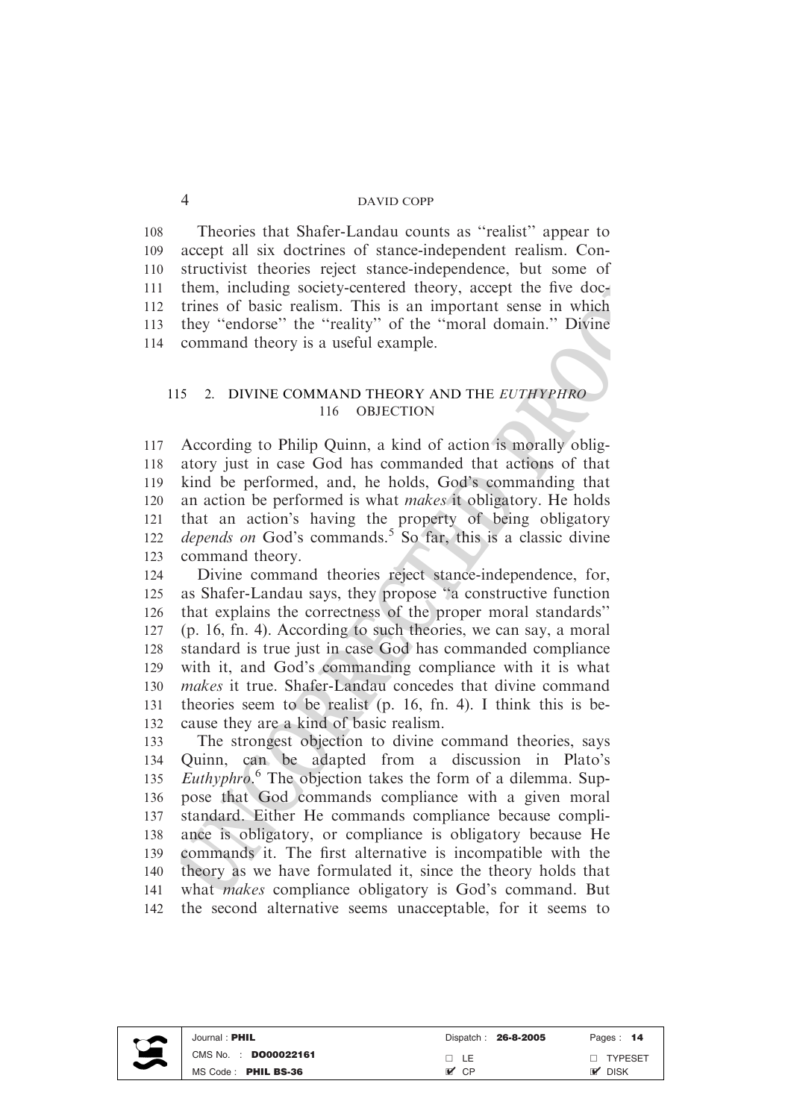Theories that Shafer-Landau counts as ''realist'' appear to accept all six doctrines of stance-independent realism. Con- structivist theories reject stance-independence, but some of them, including society-centered theory, accept the five doc- trines of basic realism. This is an important sense in which they ''endorse'' the ''reality'' of the ''moral domain.'' Divine command theory is a useful example.

### 115 2. DIVINE COMMAND THEORY AND THE EUTHYPHRO OBJECTION

 According to Philip Quinn, a kind of action is morally oblig- atory just in case God has commanded that actions of that kind be performed, and, he holds, God's commanding that 120 an action be performed is what *makes* it obligatory. He holds that an action's having the property of being obligatory *depends on* God's commands.<sup>5</sup> So far, this is a classic divine command theory.

 Divine command theories reject stance-independence, for, as Shafer-Landau says, they propose ''a constructive function that explains the correctness of the proper moral standards'' (p. 16, fn. 4). According to such theories, we can say, a moral standard is true just in case God has commanded compliance with it, and God's commanding compliance with it is what makes it true. Shafer-Landau concedes that divine command theories seem to be realist (p. 16, fn. 4). I think this is be-cause they are a kind of basic realism.

structures from the significant meth-material parameteris, our some of the divisor them, including society-centered theory, accept the five doe-<br>trins is base realism. This is an important sense in which they "endorse" th The strongest objection to divine command theories, says Quinn, can be adapted from a discussion in Plato's 135 Euthyphro.<sup>6</sup> The objection takes the form of a dilemma. Sup- pose that God commands compliance with a given moral standard. Either He commands compliance because compli- ance is obligatory, or compliance is obligatory because He commands it. The first alternative is incompatible with the theory as we have formulated it, since the theory holds that 141 what *makes* compliance obligatory is God's command. But the second alternative seems unacceptable, for it seems to

| Journal : <b>PHIL</b>       | Dispatch: <b>26-8-2005</b> | Pages: 14         |
|-----------------------------|----------------------------|-------------------|
| CMS No. : <b>DO00022161</b> | $\Box$ IF                  | $\Box$ TYPESET    |
| MS Code: PHIL BS-36         | $R$ CP                     | $\mathbb{R}$ DISK |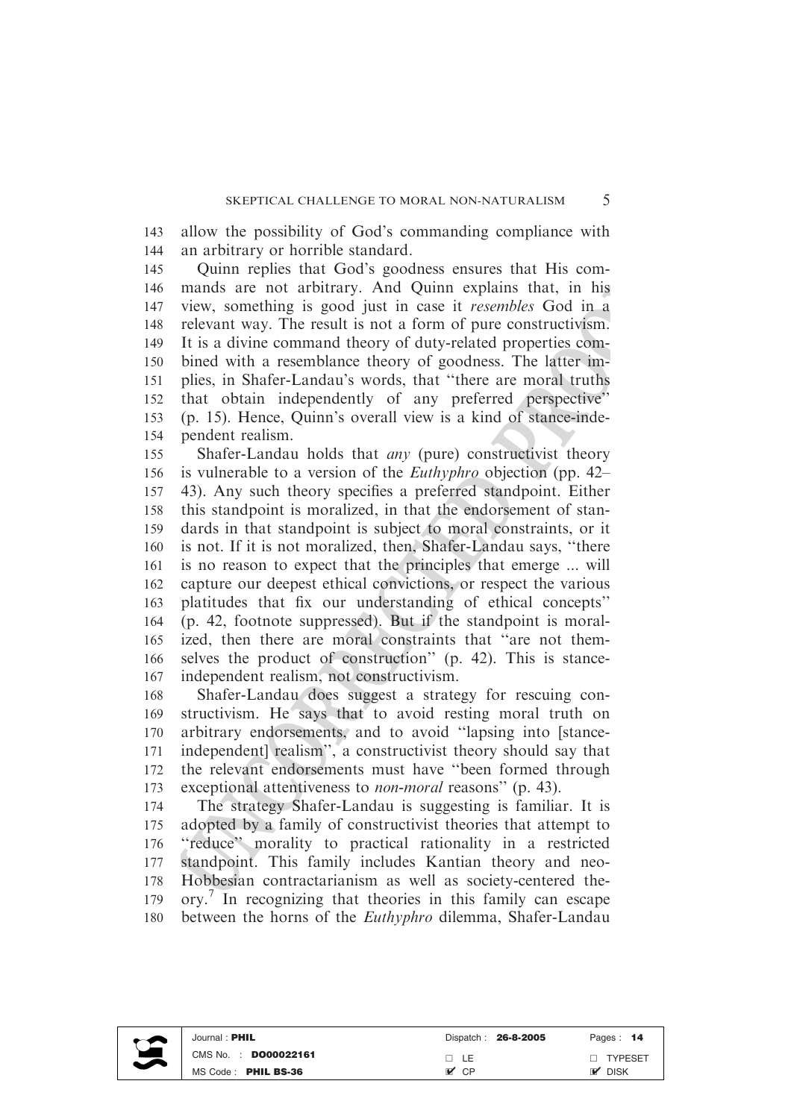allow the possibility of God's commanding compliance with an arbitrary or horrible standard.

 Quinn replies that God's goodness ensures that His com- mands are not arbitrary. And Quinn explains that, in his view, something is good just in case it resembles God in a relevant way. The result is not a form of pure constructivism. It is a divine command theory of duty-related properties com- bined with a resemblance theory of goodness. The latter im- plies, in Shafer-Landau's words, that ''there are moral truths that obtain independently of any preferred perspective'' (p. 15). Hence, Quinn's overall view is a kind of stance-inde-pendent realism.

Canni ciphus taret to as gointaris trained in the search of the search of the search and relation and relation and relation and relation the remote the remote of the remote the remote the remote the search in the several 155 Shafer-Landau holds that *any* (pure) constructivist theory is vulnerable to a version of the Euthyphro objection (pp. 42– 43). Any such theory specifies a preferred standpoint. Either this standpoint is moralized, in that the endorsement of stan- dards in that standpoint is subject to moral constraints, or it is not. If it is not moralized, then, Shafer-Landau says, ''there is no reason to expect that the principles that emerge ... will capture our deepest ethical convictions, or respect the various platitudes that fix our understanding of ethical concepts'' (p. 42, footnote suppressed). But if the standpoint is moral- ized, then there are moral constraints that ''are not them- selves the product of construction'' (p. 42). This is stance-independent realism, not constructivism.

 Shafer-Landau does suggest a strategy for rescuing con- structivism. He says that to avoid resting moral truth on arbitrary endorsements, and to avoid ''lapsing into [stance- independent] realism'', a constructivist theory should say that the relevant endorsements must have ''been formed through exceptional attentiveness to non-moral reasons'' (p. 43).

 The strategy Shafer-Landau is suggesting is familiar. It is adopted by a family of constructivist theories that attempt to ''reduce'' morality to practical rationality in a restricted standpoint. This family includes Kantian theory and neo- Hobbesian contractarianism as well as society-centered the- ory.<sup>7</sup> In recognizing that theories in this family can escape 180 between the horns of the Euthyphro dilemma, Shafer-Landau

| Journal : <b>PHIL</b>       | Dispatch: 26-8-2005 | Pages: 14      |
|-----------------------------|---------------------|----------------|
| CMS No. : <b>DO00022161</b> | $\Box$ IF           | $\Box$ TYPESET |
| MS Code: PHIL BS-36         | $V$ CP              | <b>V</b> DISK  |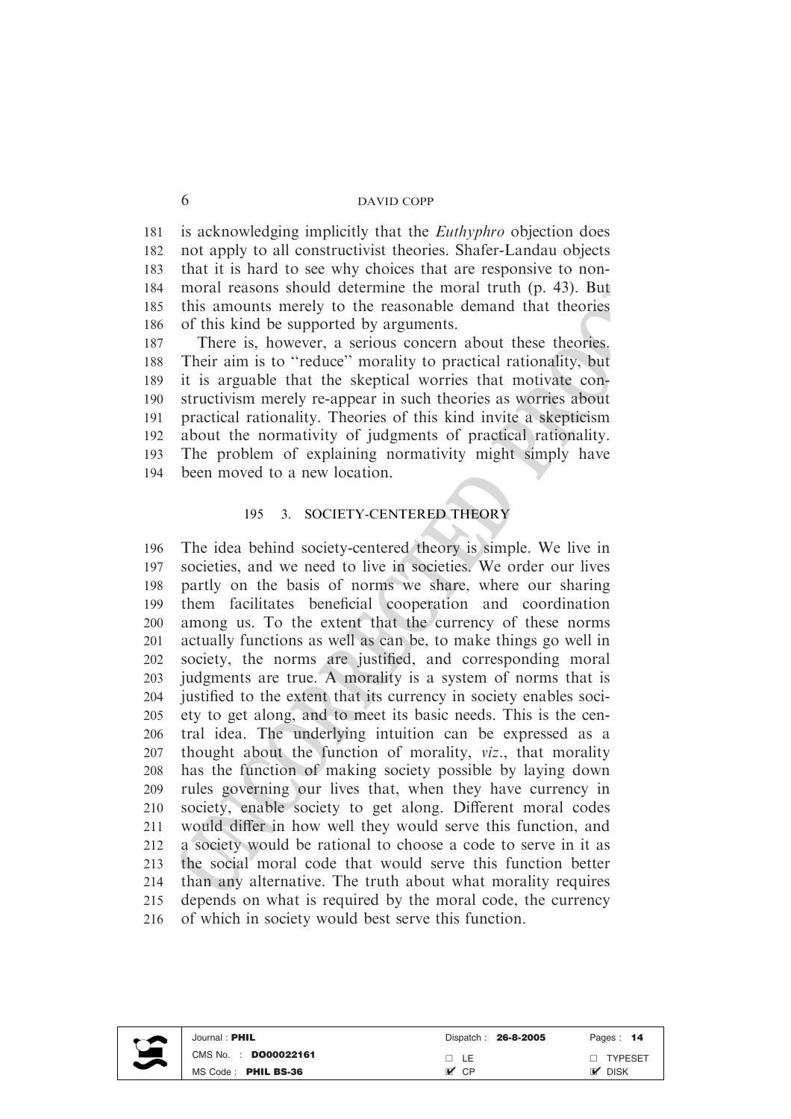181 is acknowledging implicitly that the *Euthyphro* objection does not apply to all constructivist theories. Shafer-Landau objects that it is hard to see why choices that are responsive to non- moral reasons should determine the moral truth (p. 43). But this amounts merely to the reasonable demand that theories of this kind be supported by arguments.

 There is, however, a serious concern about these theories. Their aim is to ''reduce'' morality to practical rationality, but it is arguable that the skeptical worries that motivate con- structivism merely re-appear in such theories as worries about practical rationality. Theories of this kind invite a skepticism about the normativity of judgments of practical rationality. The problem of explaining normativity might simply have been moved to a new location.

#### 3. SOCIETY-CENTERED THEORY

man' its natur of set with consonable dentate in the suppresentation and moral reasons should determine the moral truth (p. 43). But this amounts merely to the reasonable denant that theories of this kind be supported by a The idea behind society-centered theory is simple. We live in societies, and we need to live in societies. We order our lives partly on the basis of norms we share, where our sharing them facilitates beneficial cooperation and coordination among us. To the extent that the currency of these norms actually functions as well as can be, to make things go well in society, the norms are justified, and corresponding moral judgments are true. A morality is a system of norms that is justified to the extent that its currency in society enables soci- ety to get along, and to meet its basic needs. This is the cen- tral idea. The underlying intuition can be expressed as a thought about the function of morality, viz., that morality has the function of making society possible by laying down rules governing our lives that, when they have currency in society, enable society to get along. Different moral codes would differ in how well they would serve this function, and a society would be rational to choose a code to serve in it as the social moral code that would serve this function better than any alternative. The truth about what morality requires depends on what is required by the moral code, the currency of which in society would best serve this function.

| Journal : <b>PHIL</b>       | Dispatch : <b>26-8-2005</b> | Pages: 14         |
|-----------------------------|-----------------------------|-------------------|
| CMS No. : <b>DO00022161</b> | $\Box$ IF                   | $\Box$ TYPESET    |
| MS Code: PHIL BS-36         | $V$ CP                      | $\mathbb{R}$ DISK |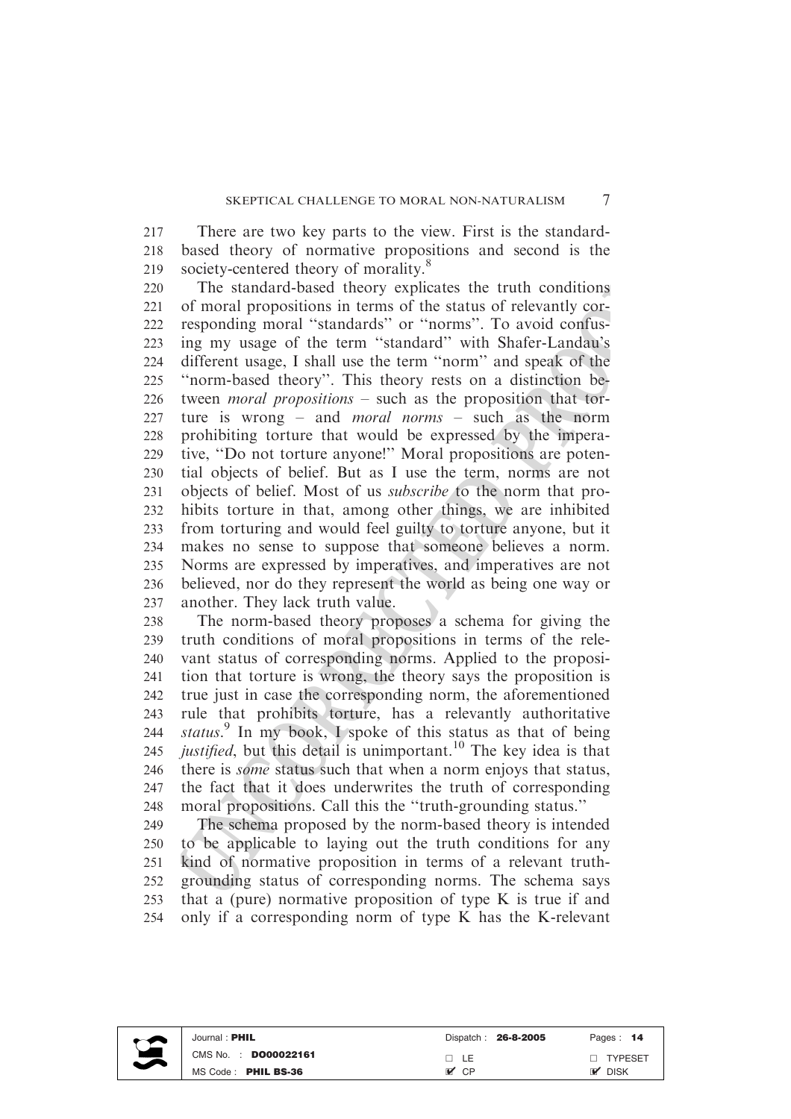There are two key parts to the view. First is the standard- based theory of normative propositions and second is the 219 society-centered theory of morality.<sup>8</sup>

someone of model propositions in terms of the studied correction<br>The standard-based theory expliciates the truth conditions<br>of moral propositions in terms of the studies of relevantly cor-<br>responding moral "standards" or The standard-based theory explicates the truth conditions of moral propositions in terms of the status of relevantly cor- responding moral ''standards'' or ''norms''. To avoid confus- ing my usage of the term ''standard'' with Shafer-Landau's different usage, I shall use the term ''norm'' and speak of the ''norm-based theory''. This theory rests on a distinction be- tween moral propositions – such as the proposition that tor- ture is wrong – and moral norms – such as the norm prohibiting torture that would be expressed by the impera- tive, ''Do not torture anyone!'' Moral propositions are poten- tial objects of belief. But as I use the term, norms are not objects of belief. Most of us subscribe to the norm that pro- hibits torture in that, among other things, we are inhibited from torturing and would feel guilty to torture anyone, but it makes no sense to suppose that someone believes a norm. Norms are expressed by imperatives, and imperatives are not believed, nor do they represent the world as being one way or another. They lack truth value.

 The norm-based theory proposes a schema for giving the truth conditions of moral propositions in terms of the rele- vant status of corresponding norms. Applied to the proposi- tion that torture is wrong, the theory says the proposition is true just in case the corresponding norm, the aforementioned rule that prohibits torture, has a relevantly authoritative 244 status.<sup>9</sup> In my book, I spoke of this status as that of being *justified*, but this detail is unimportant.<sup>10</sup> The key idea is that 246 there is *some* status such that when a norm enjoys that status, the fact that it does underwrites the truth of corresponding moral propositions. Call this the ''truth-grounding status.''

 The schema proposed by the norm-based theory is intended to be applicable to laying out the truth conditions for any kind of normative proposition in terms of a relevant truth- grounding status of corresponding norms. The schema says that a (pure) normative proposition of type K is true if and only if a corresponding norm of type K has the K-relevant

| Journal : <b>PHIL</b>       | Dispatch: 26-8-2005 | Pages: 14         |
|-----------------------------|---------------------|-------------------|
| CMS No. : <b>DO00022161</b> | $\Box$ IF           | $\Box$ TYPESET    |
| MS Code: PHIL BS-36         | $V$ CP              | $\mathbb{R}$ DISK |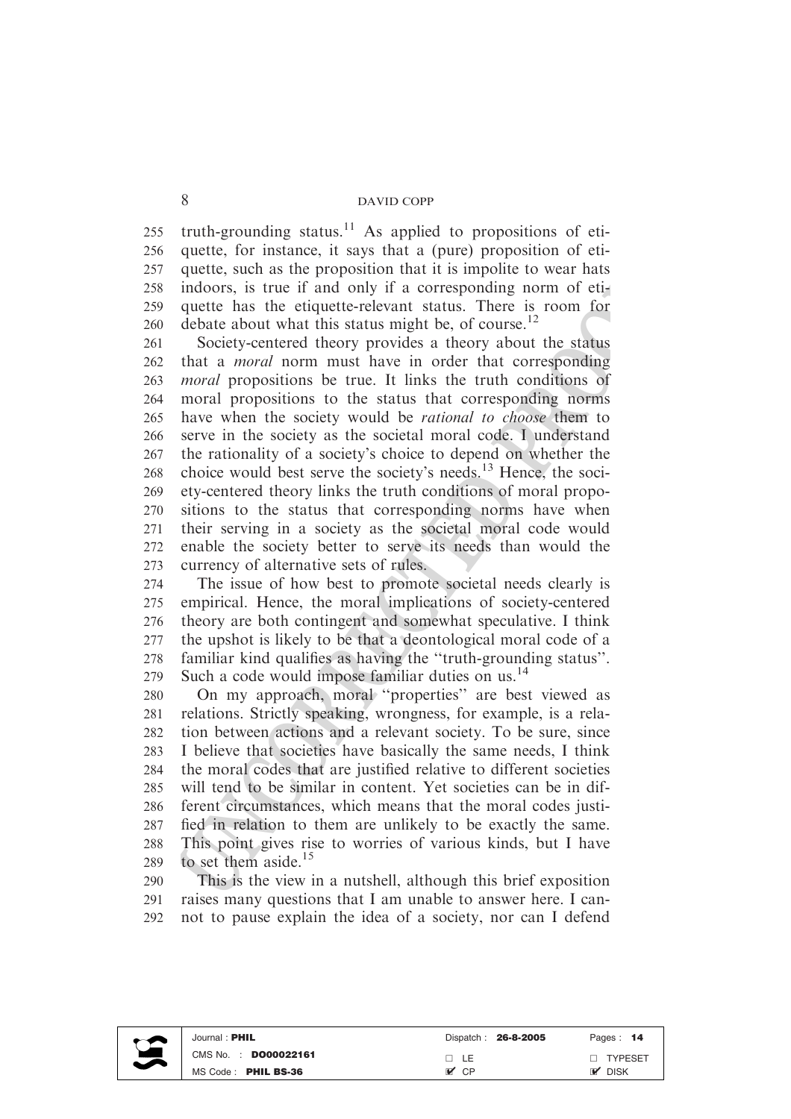255 truth-grounding status.<sup>11</sup> As applied to propositions of eti- quette, for instance, it says that a (pure) proposition of eti- quette, such as the proposition that it is impolite to wear hats indoors, is true if and only if a corresponding norm of eti- quette has the etiquette-relevant status. There is room for 260 debate about what this status might be, of course.<sup>12</sup>

quent, salin as simple that is implointed when task that is the model modeors, is true if and only if a corresponding norm of eti-<br>quelte has the etiquette-relevant status. There is room for<br>debate about what this status Society-centered theory provides a theory about the status that a moral norm must have in order that corresponding moral propositions be true. It links the truth conditions of moral propositions to the status that corresponding norms have when the society would be rational to choose them to serve in the society as the societal moral code. I understand the rationality of a society's choice to depend on whether the choice would best serve the society's needs.<sup>13</sup> Hence, the soci- ety-centered theory links the truth conditions of moral propo- sitions to the status that corresponding norms have when their serving in a society as the societal moral code would enable the society better to serve its needs than would the currency of alternative sets of rules.

 The issue of how best to promote societal needs clearly is empirical. Hence, the moral implications of society-centered theory are both contingent and somewhat speculative. I think the upshot is likely to be that a deontological moral code of a familiar kind qualifies as having the ''truth-grounding status''. 279 Such a code would impose familiar duties on us.<sup>14</sup>

 On my approach, moral ''properties'' are best viewed as relations. Strictly speaking, wrongness, for example, is a rela- tion between actions and a relevant society. To be sure, since I believe that societies have basically the same needs, I think the moral codes that are justified relative to different societies will tend to be similar in content. Yet societies can be in dif- ferent circumstances, which means that the moral codes justi- fied in relation to them are unlikely to be exactly the same. This point gives rise to worries of various kinds, but I have 289 to set them aside.<sup>15</sup>

 This is the view in a nutshell, although this brief exposition raises many questions that I am unable to answer here. I can-not to pause explain the idea of a society, nor can I defend

| Journal: <b>PHIL</b>        | Dispatch: 26-8-2005 | Pages: 14          |
|-----------------------------|---------------------|--------------------|
| CMS No. : <b>DO00022161</b> | $\Box$ IF           | <b>THE TYPESET</b> |
| MS Code : PHIL BS-36        | $\mathbb{R}$ CP     | <b>V</b> DISK      |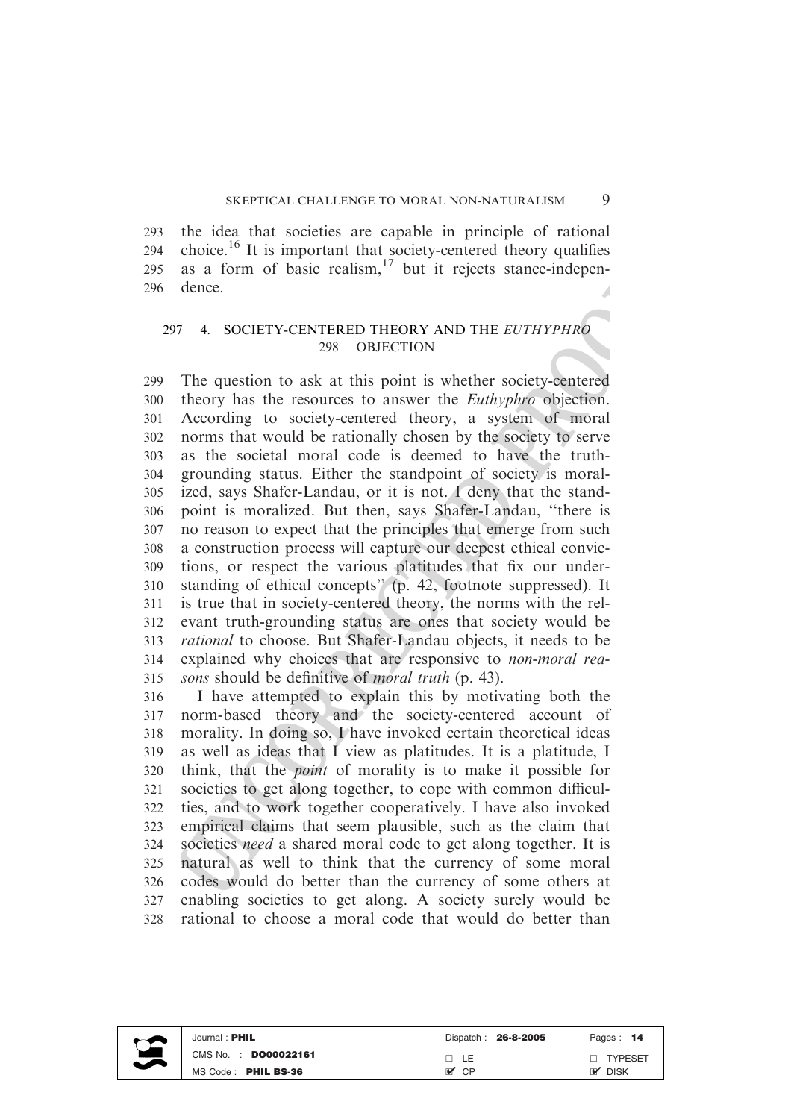the idea that societies are capable in principle of rational 294 choice.<sup>16</sup> It is important that society-centered theory qualifies 295 as a form of basic realism, but it rejects stance-indepen-dence.

### 297 4. SOCIETY-CENTERED THEORY AND THE EUTHYPHRO OBJECTION

34 a tomi of usade transmit, but in tiglets stance-inteperate<br>dence.<br>
298 OBLECTION AND THE EUTHYPHRO<br>
298 OBLECTION<br>
298 OBLECTION<br>
298 OBLECTION<br>
According to society-centered<br>
theory has the resources to answer the Eut The question to ask at this point is whether society-centered theory has the resources to answer the Euthyphro objection. According to society-centered theory, a system of moral norms that would be rationally chosen by the society to serve as the societal moral code is deemed to have the truth- grounding status. Either the standpoint of society is moral- ized, says Shafer-Landau, or it is not. I deny that the stand- point is moralized. But then, says Shafer-Landau, ''there is no reason to expect that the principles that emerge from such a construction process will capture our deepest ethical convic- tions, or respect the various platitudes that fix our under- standing of ethical concepts'' (p. 42, footnote suppressed). It is true that in society-centered theory, the norms with the rel- evant truth-grounding status are ones that society would be rational to choose. But Shafer-Landau objects, it needs to be explained why choices that are responsive to non-moral rea-sons should be definitive of moral truth (p. 43).

 I have attempted to explain this by motivating both the norm-based theory and the society-centered account of morality. In doing so, I have invoked certain theoretical ideas as well as ideas that I view as platitudes. It is a platitude, I think, that the point of morality is to make it possible for societies to get along together, to cope with common difficul- ties, and to work together cooperatively. I have also invoked empirical claims that seem plausible, such as the claim that societies need a shared moral code to get along together. It is natural as well to think that the currency of some moral codes would do better than the currency of some others at enabling societies to get along. A society surely would be rational to choose a moral code that would do better than

| Journal : <b>PHIL</b>       | Dispatch: <b>26-8-2005</b> | Pages: 14         |
|-----------------------------|----------------------------|-------------------|
| CMS No. : <b>DO00022161</b> | $\Box$ IF                  | <b>TT TYPESET</b> |
| MS Code: PHIL BS-36         | $V$ CP                     | $\mathbb{R}$ DISK |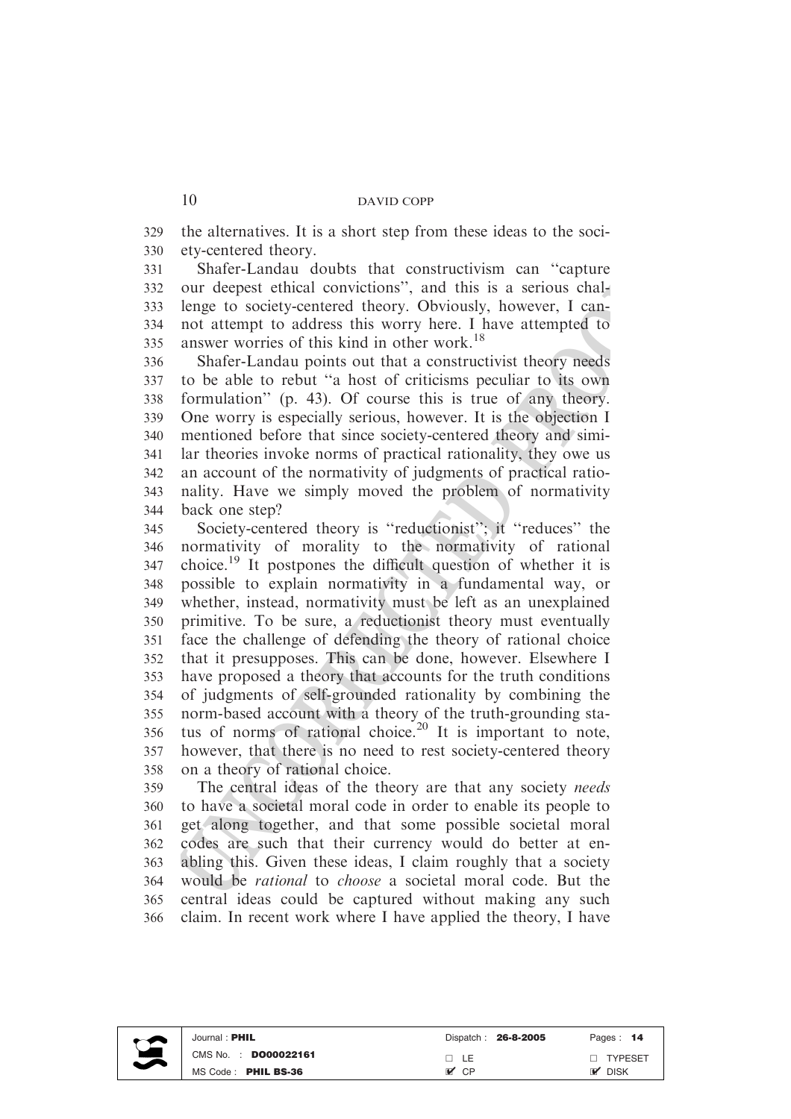the alternatives. It is a short step from these ideas to the soci-ety-centered theory.

 Shafer-Landau doubts that constructivism can ''capture our deepest ethical convictions'', and this is a serious chal- lenge to society-centered theory. Obviously, however, I can- not attempt to address this worry here. I have attempted to answer worries of this kind in other work.<sup>18</sup>

 Shafer-Landau points out that a constructivist theory needs to be able to rebut ''a host of criticisms peculiar to its own formulation'' (p. 43). Of course this is true of any theory. One worry is especially serious, however. It is the objection I mentioned before that since society-centered theory and simi- lar theories invoke norms of practical rationality, they owe us an account of the normativity of judgments of practical ratio- nality. Have we simply moved the problem of normativity back one step?

since - Lemanus total volume to the correlation and the repet of society-centered theory. Obviously, however, 1 can-<br>heng to society-centered theory. Obviously, however, 1 can-<br>heng the correlation of this kind in other w Society-centered theory is ''reductionist''; it ''reduces'' the normativity of morality to the normativity of rational 347 choice.<sup>19</sup> It postpones the difficult question of whether it is possible to explain normativity in a fundamental way, or whether, instead, normativity must be left as an unexplained primitive. To be sure, a reductionist theory must eventually face the challenge of defending the theory of rational choice that it presupposes. This can be done, however. Elsewhere I have proposed a theory that accounts for the truth conditions of judgments of self-grounded rationality by combining the norm-based account with a theory of the truth-grounding sta- tus of norms of rational choice.<sup>20</sup> It is important to note, however, that there is no need to rest society-centered theory on a theory of rational choice.

 The central ideas of the theory are that any society needs to have a societal moral code in order to enable its people to get along together, and that some possible societal moral codes are such that their currency would do better at en- abling this. Given these ideas, I claim roughly that a society would be rational to choose a societal moral code. But the central ideas could be captured without making any such claim. In recent work where I have applied the theory, I have

| Journal : <b>PHIL</b>       | Dispatch: 26-8-2005 | Pages: 14          |
|-----------------------------|---------------------|--------------------|
| CMS No. : <b>DO00022161</b> | $\Box$ IF           | <b>THE TYPESET</b> |
| MS Code: PHIL BS-36         | $\mathbb{R}$ CP     | <b>V</b> DISK      |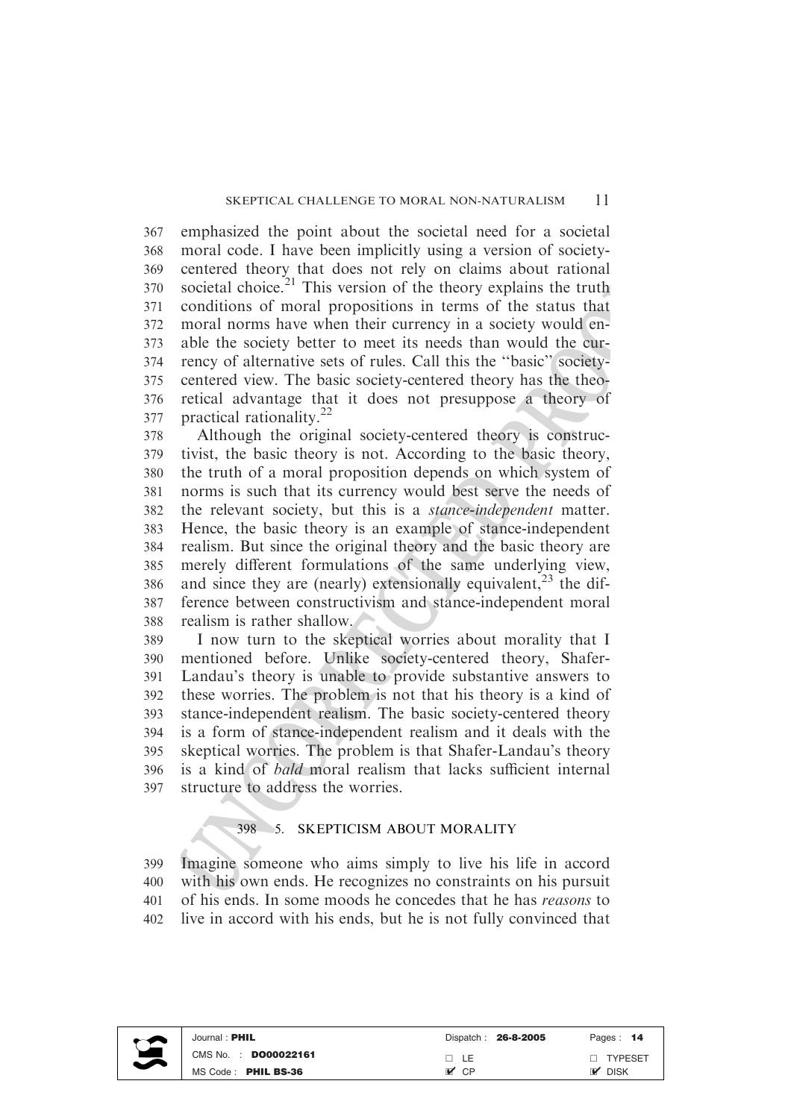emphasized the point about the societal need for a societal moral code. I have been implicitly using a version of society- centered theory that does not rely on claims about rational societal choice.<sup>21</sup> This version of the theory explains the truth conditions of moral propositions in terms of the status that moral norms have when their currency in a society would en- able the society better to meet its needs than would the cur- rency of alternative sets of rules. Call this the ''basic'' society- centered view. The basic society-centered theory has the theo- retical advantage that it does not presuppose a theory of practical rationality.<sup>22</sup>

exercise throw y mat causes mot tay on teams anotheliational product<br>societal choice.<sup>21</sup> This version of the theory explains the truth<br>conditions of more of the state that<br>moral norms have when their currency in a societ Although the original society-centered theory is construc- tivist, the basic theory is not. According to the basic theory, the truth of a moral proposition depends on which system of norms is such that its currency would best serve the needs of the relevant society, but this is a stance-independent matter. Hence, the basic theory is an example of stance-independent realism. But since the original theory and the basic theory are merely different formulations of the same underlying view, 386 and since they are (nearly) extensionally equivalent,  $2<sup>3</sup>$  the dif- ference between constructivism and stance-independent moral realism is rather shallow.

 I now turn to the skeptical worries about morality that I mentioned before. Unlike society-centered theory, Shafer- Landau's theory is unable to provide substantive answers to these worries. The problem is not that his theory is a kind of stance-independent realism. The basic society-centered theory is a form of stance-independent realism and it deals with the skeptical worries. The problem is that Shafer-Landau's theory is a kind of bald moral realism that lacks sufficient internal structure to address the worries.

### 5. SKEPTICISM ABOUT MORALITY

 Imagine someone who aims simply to live his life in accord with his own ends. He recognizes no constraints on his pursuit of his ends. In some moods he concedes that he has reasons to live in accord with his ends, but he is not fully convinced that

| Journal : <b>PHIL</b>       | Dispatch: 26-8-2005 | Pages: 14      |
|-----------------------------|---------------------|----------------|
| CMS No. : <b>DO00022161</b> | $\Box$ IF           | $\Box$ TYPESET |
| MS Code: PHIL BS-36         | $\mathbb{R}$ CP     | <b>IV</b> DISK |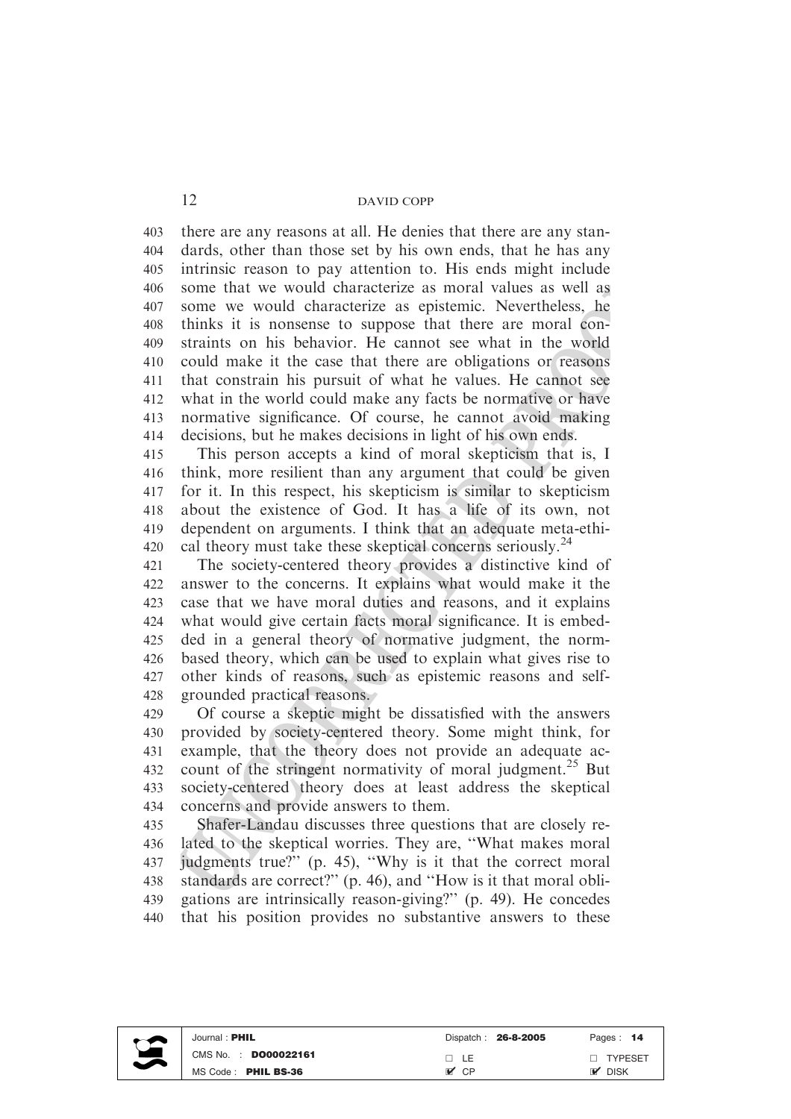mimore teasar to pay actuation to: ris single methale and the some that we would characterize as moral values as well as some the would characterize as moral values as well as thinks it is nonsense to suppose that there ar there are any reasons at all. He denies that there are any stan- dards, other than those set by his own ends, that he has any intrinsic reason to pay attention to. His ends might include some that we would characterize as moral values as well as some we would characterize as epistemic. Nevertheless, he thinks it is nonsense to suppose that there are moral con- straints on his behavior. He cannot see what in the world could make it the case that there are obligations or reasons that constrain his pursuit of what he values. He cannot see what in the world could make any facts be normative or have normative significance. Of course, he cannot avoid making decisions, but he makes decisions in light of his own ends.

 This person accepts a kind of moral skepticism that is, I think, more resilient than any argument that could be given for it. In this respect, his skepticism is similar to skepticism about the existence of God. It has a life of its own, not dependent on arguments. I think that an adequate meta-ethi-420 cal theory must take these skeptical concerns seriously.<sup>24</sup>

 The society-centered theory provides a distinctive kind of answer to the concerns. It explains what would make it the case that we have moral duties and reasons, and it explains what would give certain facts moral significance. It is embed- ded in a general theory of normative judgment, the norm- based theory, which can be used to explain what gives rise to other kinds of reasons, such as epistemic reasons and self-grounded practical reasons.

 Of course a skeptic might be dissatisfied with the answers provided by society-centered theory. Some might think, for example, that the theory does not provide an adequate ac-432 count of the stringent normativity of moral judgment.<sup>25</sup> But society-centered theory does at least address the skeptical concerns and provide answers to them.

 Shafer-Landau discusses three questions that are closely re- lated to the skeptical worries. They are, ''What makes moral judgments true?'' (p. 45), ''Why is it that the correct moral standards are correct?'' (p. 46), and ''How is it that moral obli- gations are intrinsically reason-giving?'' (p. 49). He concedes that his position provides no substantive answers to these

| Journal : <b>PHIL</b>       | Dispatch: 26-8-2005 | Pages: 14         |
|-----------------------------|---------------------|-------------------|
| CMS No. : <b>DO00022161</b> | $\Box$ IF           | <b>NO TYPESET</b> |
| MS Code: PHIL BS-36         | $V$ CP              | $\mathbb{R}$ DISK |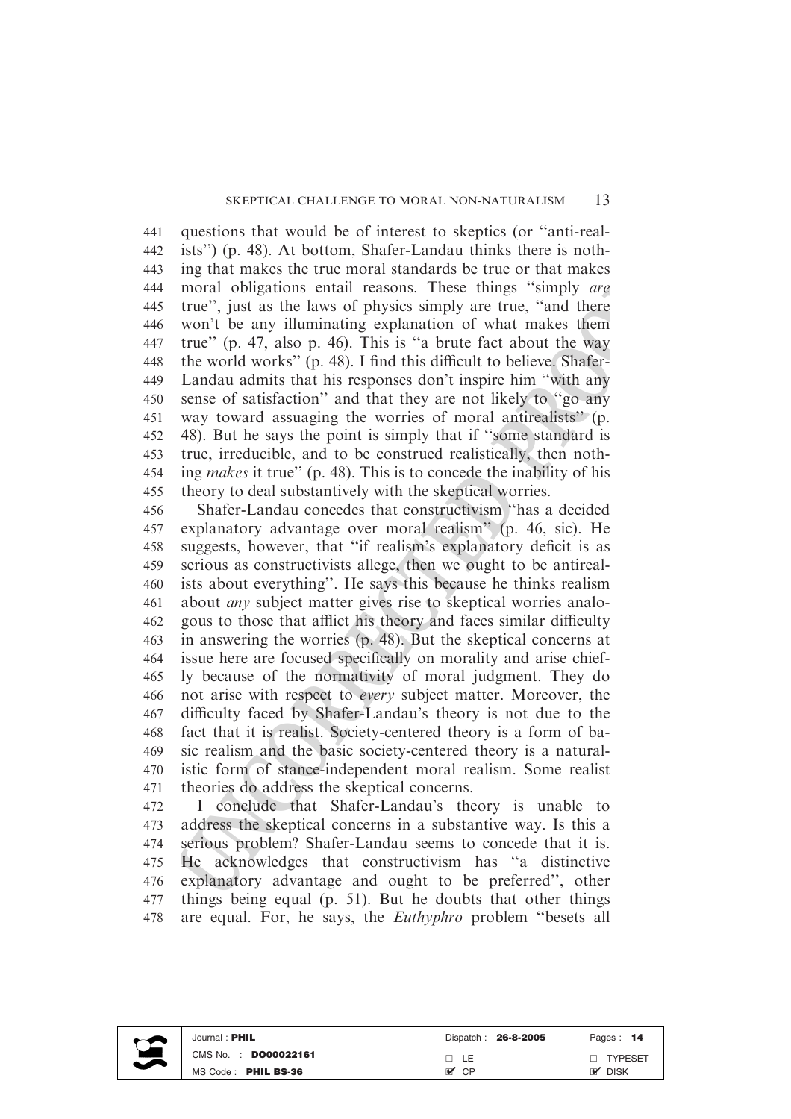questions that would be of interest to skeptics (or ''anti-real- ists'') (p. 48). At bottom, Shafer-Landau thinks there is noth- ing that makes the true moral standards be true or that makes moral obligations entail reasons. These things ''simply are true'', just as the laws of physics simply are true, ''and there won't be any illuminating explanation of what makes them true'' (p. 47, also p. 46). This is ''a brute fact about the way the world works'' (p. 48). I find this difficult to believe. Shafer- Landau admits that his responses don't inspire him ''with any sense of satisfaction'' and that they are not likely to ''go any way toward assuaging the worries of moral antirealists'' (p. 48). But he says the point is simply that if ''some standard is true, irreducible, and to be construed realistically, then noth- ing makes it true'' (p. 48). This is to concede the inability of his theory to deal substantively with the skeptical worries.

me mat masse in the moral standards of the or that inteacts the depthene in the depthene in the dark of physics simply are true", just as the laws of physics simply are true" (p. 47, also p. 46). This is "a brute fact abo Shafer-Landau concedes that constructivism ''has a decided explanatory advantage over moral realism'' (p. 46, sic). He suggests, however, that ''if realism's explanatory deficit is as serious as constructivists allege, then we ought to be antireal- ists about everything''. He says this because he thinks realism about any subject matter gives rise to skeptical worries analo- gous to those that afflict his theory and faces similar difficulty in answering the worries (p. 48). But the skeptical concerns at issue here are focused specifically on morality and arise chief- ly because of the normativity of moral judgment. They do not arise with respect to every subject matter. Moreover, the difficulty faced by Shafer-Landau's theory is not due to the fact that it is realist. Society-centered theory is a form of ba- sic realism and the basic society-centered theory is a natural- istic form of stance-independent moral realism. Some realist theories do address the skeptical concerns.

 I conclude that Shafer-Landau's theory is unable to address the skeptical concerns in a substantive way. Is this a serious problem? Shafer-Landau seems to concede that it is. He acknowledges that constructivism has ''a distinctive explanatory advantage and ought to be preferred'', other things being equal (p. 51). But he doubts that other things 478 are equal. For, he says, the *Euthyphro* problem "besets all

| Journal : <b>PHIL</b>       | Dispatch: 26-8-2005 | Pages: 14         |
|-----------------------------|---------------------|-------------------|
| CMS No. : <b>DO00022161</b> | $\Box$ IF           | <b>NO TYPESET</b> |
| MS Code: PHIL BS-36         | $\mathbb{R}$ CP     | $\mathbb{R}$ DISK |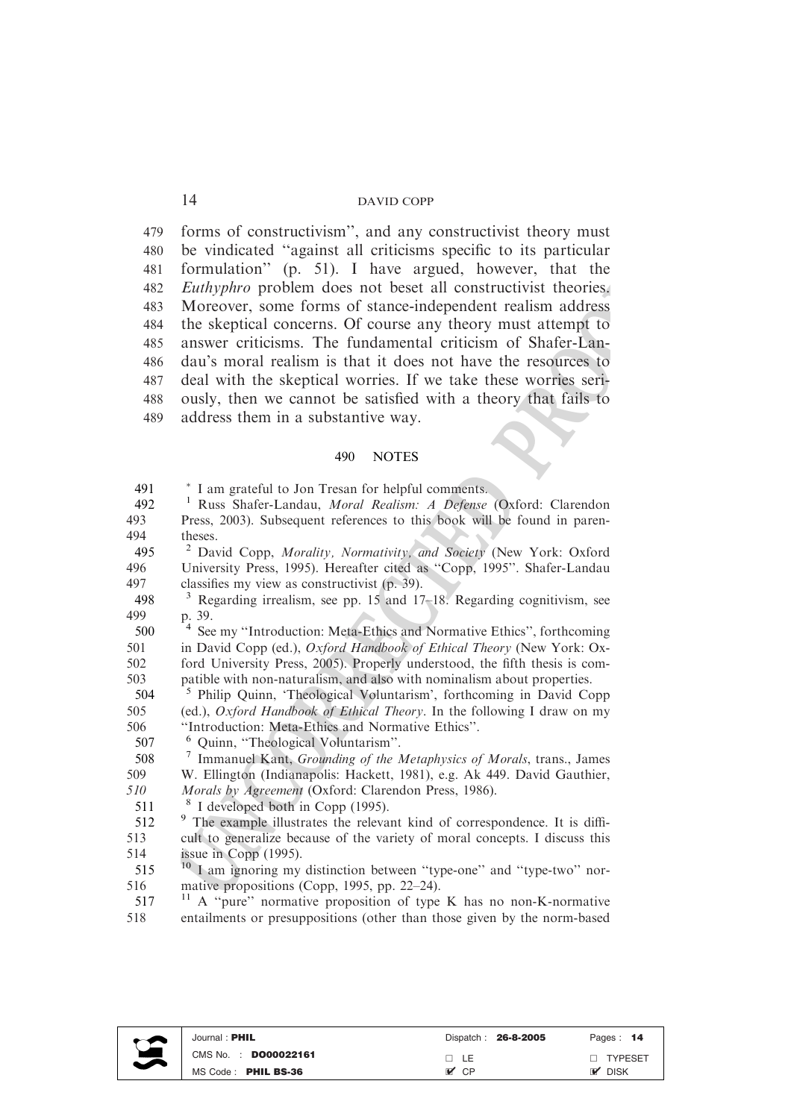forms of constructivism'', and any constructivist theory must be vindicated ''against all criticisms specific to its particular formulation'' (p. 51). I have argued, however, that the Euthyphro problem does not beset all constructivist theories. Moreover, some forms of stance-independent realism address the skeptical concerns. Of course any theory must attempt to answer criticisms. The fundamental criticism of Shafer-Lan- dau's moral realism is that it does not have the resources to deal with the skeptical worries. If we take these worries seri- ously, then we cannot be satisfied with a theory that fails to address them in a substantive way.

#### 490 NOTES

| 401        | formulation (p. 31). I have argued, however, that the                                                                                                  |  |  |
|------------|--------------------------------------------------------------------------------------------------------------------------------------------------------|--|--|
| 482        | <i>Euthyphro</i> problem does not beset all constructivist theories.                                                                                   |  |  |
| 483        | Moreover, some forms of stance-independent realism address                                                                                             |  |  |
| 484        | the skeptical concerns. Of course any theory must attempt to                                                                                           |  |  |
| 485        | answer criticisms. The fundamental criticism of Shafer-Lan-                                                                                            |  |  |
| 486        | dau's moral realism is that it does not have the resources to                                                                                          |  |  |
| 487        | deal with the skeptical worries. If we take these worries seri-                                                                                        |  |  |
|            |                                                                                                                                                        |  |  |
| 488        | ously, then we cannot be satisfied with a theory that fails to                                                                                         |  |  |
| 489        | address them in a substantive way.                                                                                                                     |  |  |
|            |                                                                                                                                                        |  |  |
|            | 490<br><b>NOTES</b>                                                                                                                                    |  |  |
|            |                                                                                                                                                        |  |  |
| 491        | * I am grateful to Jon Tresan for helpful comments.                                                                                                    |  |  |
| 492        | Russ Shafer-Landau, Moral Realism: A Defense (Oxford: Clarendon                                                                                        |  |  |
| 493        | Press, 2003). Subsequent references to this book will be found in paren-                                                                               |  |  |
| 494        | theses.                                                                                                                                                |  |  |
| 495        | $\overline{\mathbf{c}}$<br>David Copp, Morality, Normativity, and Society (New York: Oxford                                                            |  |  |
| 496        | University Press, 1995). Hereafter cited as "Copp, 1995". Shafer-Landau                                                                                |  |  |
| 497        | classifies my view as constructivist (p. 39).                                                                                                          |  |  |
| 498        | Regarding irrealism, see pp. 15 and 17-18. Regarding cognitivism, see                                                                                  |  |  |
| 499        | p. 39.                                                                                                                                                 |  |  |
| 500        | See my "Introduction: Meta-Ethics and Normative Ethics", forthcoming                                                                                   |  |  |
| 501        | in David Copp (ed.), Oxford Handbook of Ethical Theory (New York: Ox-                                                                                  |  |  |
| 502<br>503 | ford University Press, 2005). Properly understood, the fifth thesis is com-<br>patible with non-naturalism, and also with nominalism about properties. |  |  |
| 504        | <sup>5</sup> Philip Quinn, 'Theological Voluntarism', forthcoming in David Copp                                                                        |  |  |
| 505        | (ed.), Oxford Handbook of Ethical Theory. In the following I draw on my                                                                                |  |  |
| 506        | "Introduction: Meta-Ethics and Normative Ethics".                                                                                                      |  |  |
| 507        | Quinn, "Theological Voluntarism".                                                                                                                      |  |  |
| 508        | $\overline{1}$<br>Immanuel Kant, Grounding of the Metaphysics of Morals, trans., James                                                                 |  |  |
| 509        | W. Ellington (Indianapolis: Hackett, 1981), e.g. Ak 449. David Gauthier,                                                                               |  |  |
| 510        | Morals by Agreement (Oxford: Clarendon Press, 1986).                                                                                                   |  |  |
| 511        | I developed both in Copp (1995).                                                                                                                       |  |  |
| 512        | <sup>9</sup> The example illustrates the relevant kind of correspondence. It is diffi-                                                                 |  |  |
| 513        | cult to generalize because of the variety of moral concepts. I discuss this                                                                            |  |  |
| 514        | issue in Copp (1995).                                                                                                                                  |  |  |
| 515        | <sup>10</sup> I am ignoring my distinction between "type-one" and "type-two" nor-                                                                      |  |  |
| 516        | mative propositions (Copp, 1995, pp. 22–24).                                                                                                           |  |  |
| 517        | A "pure" normative proposition of type K has no non-K-normative                                                                                        |  |  |
| 518        | entailments or presuppositions (other than those given by the norm-based                                                                               |  |  |

| Journal : <b>PHIL</b>       | Dispatch: 26-8-2005 | Pages: 14         |
|-----------------------------|---------------------|-------------------|
| CMS No. : <b>DO00022161</b> | $\Box$ IF           | $\Box$ TYPESET    |
| MS Code: PHIL BS-36         | $V$ CP              | $\mathbb{R}$ DISK |